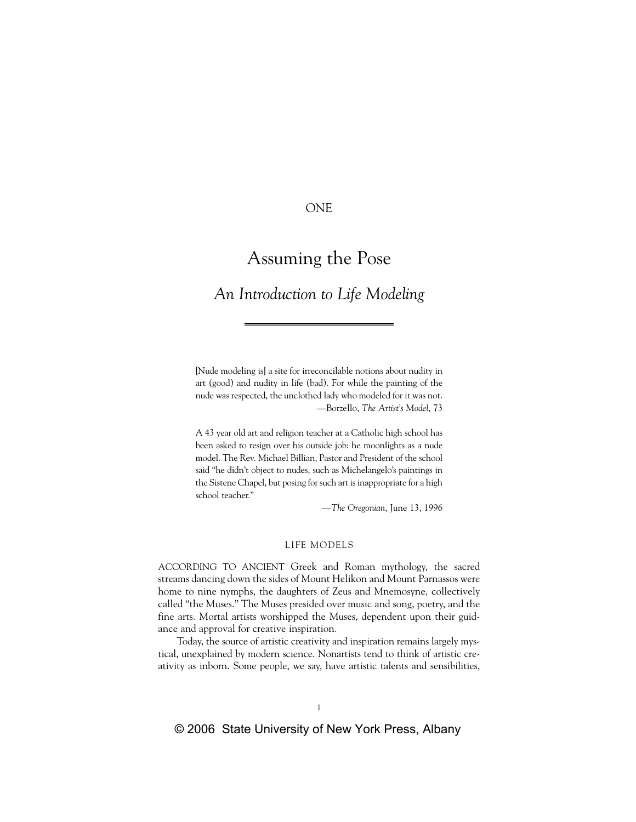# ONE

# Assuming the Pose

# *An Introduction to Life Modeling*

[Nude modeling is] a site for irreconcilable notions about nudity in art (good) and nudity in life (bad). For while the painting of the nude was respected, the unclothed lady who modeled for it was not. —Borzello, *The Artist's Model*, 73

A 43 year old art and religion teacher at a Catholic high school has been asked to resign over his outside job: he moonlights as a nude model. The Rev. Michael Billian, Pastor and President of the school said "he didn't object to nudes, such as Michelangelo's paintings in the Sistene Chapel, but posing for such art is inappropriate for a high school teacher."

—*The Oregonian*, June 13, 1996

#### LIFE MODELS

ACCORDING TO ANCIENT Greek and Roman mythology, the sacred streams dancing down the sides of Mount Helikon and Mount Parnassos were home to nine nymphs, the daughters of Zeus and Mnemosyne, collectively called "the Muses." The Muses presided over music and song, poetry, and the fine arts. Mortal artists worshipped the Muses, dependent upon their guidance and approval for creative inspiration.

Today, the source of artistic creativity and inspiration remains largely mystical, unexplained by modern science. Nonartists tend to think of artistic creativity as inborn. Some people, we say, have artistic talents and sensibilities,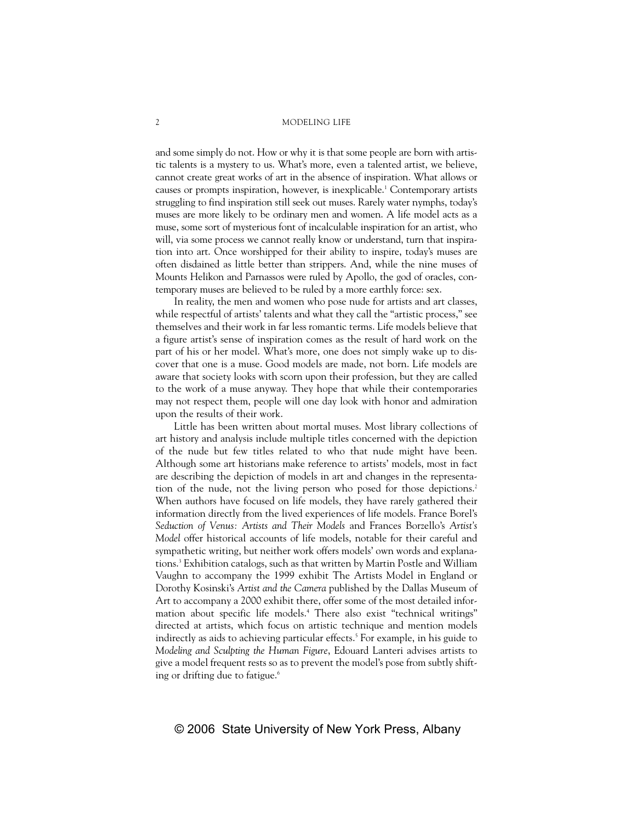and some simply do not. How or why it is that some people are born with artistic talents is a mystery to us. What's more, even a talented artist, we believe, cannot create great works of art in the absence of inspiration. What allows or causes or prompts inspiration, however, is inexplicable.1 Contemporary artists struggling to find inspiration still seek out muses. Rarely water nymphs, today's muses are more likely to be ordinary men and women. A life model acts as a muse, some sort of mysterious font of incalculable inspiration for an artist, who will, via some process we cannot really know or understand, turn that inspiration into art. Once worshipped for their ability to inspire, today's muses are often disdained as little better than strippers. And, while the nine muses of Mounts Helikon and Parnassos were ruled by Apollo, the god of oracles, contemporary muses are believed to be ruled by a more earthly force: sex.

In reality, the men and women who pose nude for artists and art classes, while respectful of artists' talents and what they call the "artistic process," see themselves and their work in far less romantic terms. Life models believe that a figure artist's sense of inspiration comes as the result of hard work on the part of his or her model. What's more, one does not simply wake up to discover that one is a muse. Good models are made, not born. Life models are aware that society looks with scorn upon their profession, but they are called to the work of a muse anyway. They hope that while their contemporaries may not respect them, people will one day look with honor and admiration upon the results of their work.

Little has been written about mortal muses. Most library collections of art history and analysis include multiple titles concerned with the depiction of the nude but few titles related to who that nude might have been. Although some art historians make reference to artists' models, most in fact are describing the depiction of models in art and changes in the representation of the nude, not the living person who posed for those depictions.<sup>2</sup> When authors have focused on life models, they have rarely gathered their information directly from the lived experiences of life models. France Borel's *Seduction of Venus: Artists and Their Models* and Frances Borzello's *Artist's Model* offer historical accounts of life models, notable for their careful and sympathetic writing, but neither work offers models' own words and explanations.3 Exhibition catalogs, such as that written by Martin Postle and William Vaughn to accompany the 1999 exhibit The Artists Model in England or Dorothy Kosinski's *Artist and the Camera* published by the Dallas Museum of Art to accompany a 2000 exhibit there, offer some of the most detailed information about specific life models.<sup>4</sup> There also exist "technical writings" directed at artists, which focus on artistic technique and mention models indirectly as aids to achieving particular effects.<sup>5</sup> For example, in his guide to *Modeling and Sculpting the Human Figure*, Edouard Lanteri advises artists to give a model frequent rests so as to prevent the model's pose from subtly shifting or drifting due to fatigue.<sup>6</sup>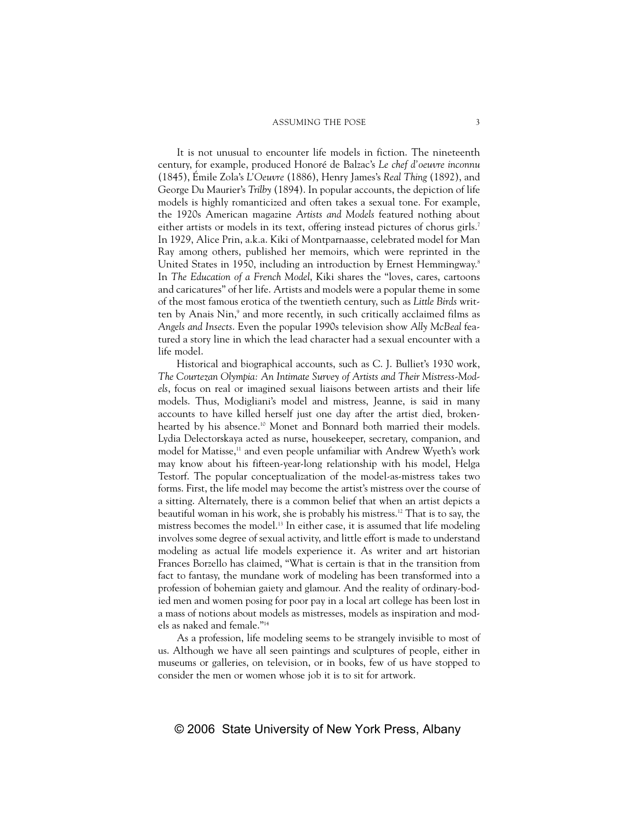It is not unusual to encounter life models in fiction. The nineteenth century, for example, produced Honoré de Balzac's *Le chef d'oeuvre inconnu* (1845), Émile Zola's *L'Oeuvre* (1886), Henry James's *Real Thing* (1892), and George Du Maurier's *Trilby* (1894). In popular accounts, the depiction of life models is highly romanticized and often takes a sexual tone. For example, the 1920s American magazine *Artists and Models* featured nothing about either artists or models in its text, offering instead pictures of chorus girls.<sup>7</sup> In 1929, Alice Prin, a.k.a. Kiki of Montparnaasse, celebrated model for Man Ray among others, published her memoirs, which were reprinted in the United States in 1950, including an introduction by Ernest Hemmingway.<sup>8</sup> In *The Education of a French Model*, Kiki shares the "loves, cares, cartoons and caricatures" of her life. Artists and models were a popular theme in some of the most famous erotica of the twentieth century, such as *Little Birds* written by Anais Nin,<sup>9</sup> and more recently, in such critically acclaimed films as *Angels and Insects*. Even the popular 1990s television show *Ally McBeal* featured a story line in which the lead character had a sexual encounter with a life model.

Historical and biographical accounts, such as C. J. Bulliet's 1930 work, *The Courtezan Olympia: An Intimate Survey of Artists and Their Mistress-Models*, focus on real or imagined sexual liaisons between artists and their life models. Thus, Modigliani's model and mistress, Jeanne, is said in many accounts to have killed herself just one day after the artist died, brokenhearted by his absence.<sup>10</sup> Monet and Bonnard both married their models. Lydia Delectorskaya acted as nurse, housekeeper, secretary, companion, and model for Matisse,<sup>11</sup> and even people unfamiliar with Andrew Wyeth's work may know about his fifteen-year-long relationship with his model, Helga Testorf. The popular conceptualization of the model-as-mistress takes two forms. First, the life model may become the artist's mistress over the course of a sitting. Alternately, there is a common belief that when an artist depicts a beautiful woman in his work, she is probably his mistress.12 That is to say, the mistress becomes the model.<sup>13</sup> In either case, it is assumed that life modeling involves some degree of sexual activity, and little effort is made to understand modeling as actual life models experience it. As writer and art historian Frances Borzello has claimed, "What is certain is that in the transition from fact to fantasy, the mundane work of modeling has been transformed into a profession of bohemian gaiety and glamour. And the reality of ordinary-bodied men and women posing for poor pay in a local art college has been lost in a mass of notions about models as mistresses, models as inspiration and models as naked and female."14

As a profession, life modeling seems to be strangely invisible to most of us. Although we have all seen paintings and sculptures of people, either in museums or galleries, on television, or in books, few of us have stopped to consider the men or women whose job it is to sit for artwork.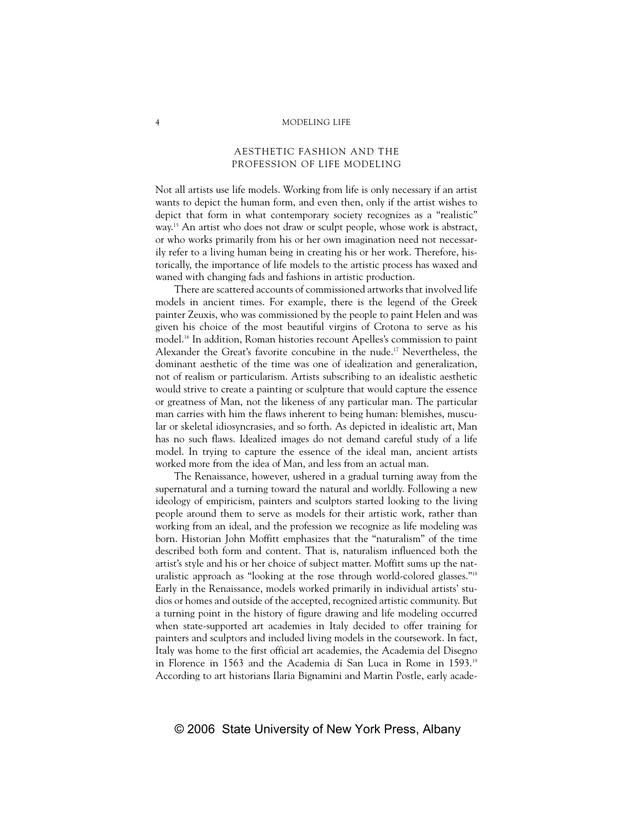## AESTHETIC FASHION AND THE PROFESSION OF LIFE MODELING

Not all artists use life models. Working from life is only necessary if an artist wants to depict the human form, and even then, only if the artist wishes to depict that form in what contemporary society recognizes as a "realistic" way.<sup>15</sup> An artist who does not draw or sculpt people, whose work is abstract, or who works primarily from his or her own imagination need not necessarily refer to a living human being in creating his or her work. Therefore, historically, the importance of life models to the artistic process has waxed and waned with changing fads and fashions in artistic production.

There are scattered accounts of commissioned artworks that involved life models in ancient times. For example, there is the legend of the Greek painter Zeuxis, who was commissioned by the people to paint Helen and was given his choice of the most beautiful virgins of Crotona to serve as his model.16 In addition, Roman histories recount Apelles's commission to paint Alexander the Great's favorite concubine in the nude.17 Nevertheless, the dominant aesthetic of the time was one of idealization and generalization, not of realism or particularism. Artists subscribing to an idealistic aesthetic would strive to create a painting or sculpture that would capture the essence or greatness of Man, not the likeness of any particular man. The particular man carries with him the flaws inherent to being human: blemishes, muscular or skeletal idiosyncrasies, and so forth. As depicted in idealistic art, Man has no such flaws. Idealized images do not demand careful study of a life model. In trying to capture the essence of the ideal man, ancient artists worked more from the idea of Man, and less from an actual man.

The Renaissance, however, ushered in a gradual turning away from the supernatural and a turning toward the natural and worldly. Following a new ideology of empiricism, painters and sculptors started looking to the living people around them to serve as models for their artistic work, rather than working from an ideal, and the profession we recognize as life modeling was born. Historian John Moffitt emphasizes that the "naturalism" of the time described both form and content. That is, naturalism influenced both the artist's style and his or her choice of subject matter. Moffitt sums up the naturalistic approach as "looking at the rose through world-colored glasses."18 Early in the Renaissance, models worked primarily in individual artists' studios or homes and outside of the accepted, recognized artistic community. But a turning point in the history of figure drawing and life modeling occurred when state-supported art academies in Italy decided to offer training for painters and sculptors and included living models in the coursework. In fact, Italy was home to the first official art academies, the Academia del Disegno in Florence in 1563 and the Academia di San Luca in Rome in 1593.19 According to art historians Ilaria Bignamini and Martin Postle, early acade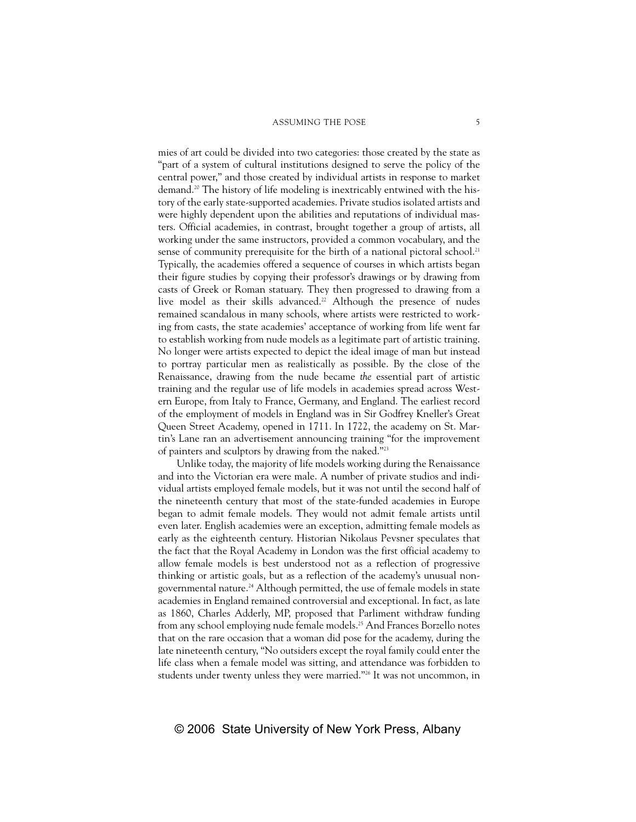mies of art could be divided into two categories: those created by the state as "part of a system of cultural institutions designed to serve the policy of the central power," and those created by individual artists in response to market demand.20 The history of life modeling is inextricably entwined with the history of the early state-supported academies. Private studios isolated artists and were highly dependent upon the abilities and reputations of individual masters. Official academies, in contrast, brought together a group of artists, all working under the same instructors, provided a common vocabulary, and the sense of community prerequisite for the birth of a national pictoral school.<sup>21</sup> Typically, the academies offered a sequence of courses in which artists began their figure studies by copying their professor's drawings or by drawing from casts of Greek or Roman statuary. They then progressed to drawing from a live model as their skills advanced.<sup>22</sup> Although the presence of nudes remained scandalous in many schools, where artists were restricted to working from casts, the state academies' acceptance of working from life went far to establish working from nude models as a legitimate part of artistic training. No longer were artists expected to depict the ideal image of man but instead to portray particular men as realistically as possible. By the close of the Renaissance, drawing from the nude became *the* essential part of artistic training and the regular use of life models in academies spread across Western Europe, from Italy to France, Germany, and England. The earliest record of the employment of models in England was in Sir Godfrey Kneller's Great Queen Street Academy, opened in 1711. In 1722, the academy on St. Martin's Lane ran an advertisement announcing training "for the improvement of painters and sculptors by drawing from the naked."23

Unlike today, the majority of life models working during the Renaissance and into the Victorian era were male. A number of private studios and individual artists employed female models, but it was not until the second half of the nineteenth century that most of the state-funded academies in Europe began to admit female models. They would not admit female artists until even later. English academies were an exception, admitting female models as early as the eighteenth century. Historian Nikolaus Pevsner speculates that the fact that the Royal Academy in London was the first official academy to allow female models is best understood not as a reflection of progressive thinking or artistic goals, but as a reflection of the academy's unusual nongovernmental nature.<sup>24</sup> Although permitted, the use of female models in state academies in England remained controversial and exceptional. In fact, as late as 1860, Charles Adderly, MP, proposed that Parliment withdraw funding from any school employing nude female models.<sup>25</sup> And Frances Borzello notes that on the rare occasion that a woman did pose for the academy, during the late nineteenth century, "No outsiders except the royal family could enter the life class when a female model was sitting, and attendance was forbidden to students under twenty unless they were married.<sup>"26</sup> It was not uncommon, in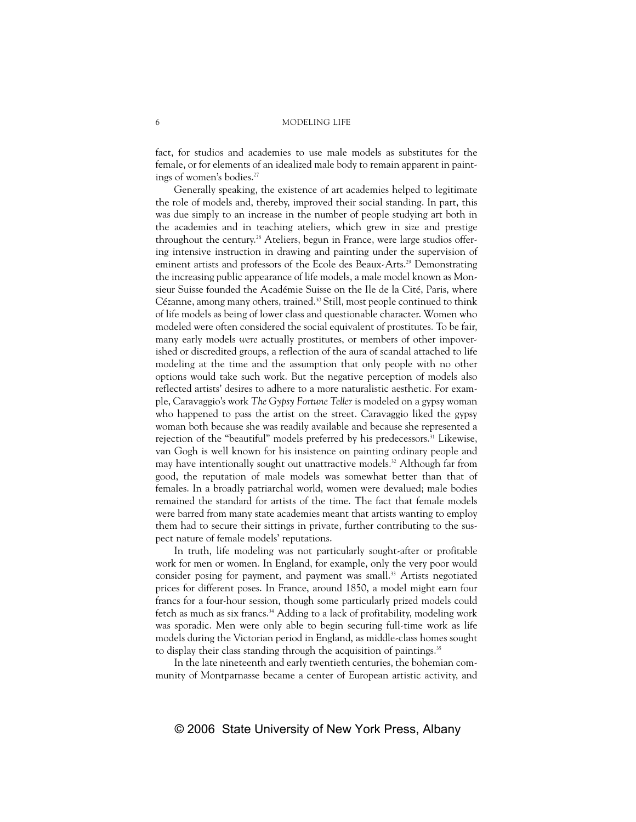fact, for studios and academies to use male models as substitutes for the female, or for elements of an idealized male body to remain apparent in paintings of women's bodies.27

Generally speaking, the existence of art academies helped to legitimate the role of models and, thereby, improved their social standing. In part, this was due simply to an increase in the number of people studying art both in the academies and in teaching ateliers, which grew in size and prestige throughout the century.<sup>28</sup> Ateliers, begun in France, were large studios offering intensive instruction in drawing and painting under the supervision of eminent artists and professors of the Ecole des Beaux-Arts.<sup>29</sup> Demonstrating the increasing public appearance of life models, a male model known as Monsieur Suisse founded the Académie Suisse on the Ile de la Cité, Paris, where Cézanne, among many others, trained.30 Still, most people continued to think of life models as being of lower class and questionable character. Women who modeled were often considered the social equivalent of prostitutes. To be fair, many early models *were* actually prostitutes, or members of other impoverished or discredited groups, a reflection of the aura of scandal attached to life modeling at the time and the assumption that only people with no other options would take such work. But the negative perception of models also reflected artists' desires to adhere to a more naturalistic aesthetic. For example, Caravaggio's work *The Gypsy Fortune Teller* is modeled on a gypsy woman who happened to pass the artist on the street. Caravaggio liked the gypsy woman both because she was readily available and because she represented a rejection of the "beautiful" models preferred by his predecessors.<sup>31</sup> Likewise, van Gogh is well known for his insistence on painting ordinary people and may have intentionally sought out unattractive models.<sup>32</sup> Although far from good, the reputation of male models was somewhat better than that of females. In a broadly patriarchal world, women were devalued; male bodies remained the standard for artists of the time. The fact that female models were barred from many state academies meant that artists wanting to employ them had to secure their sittings in private, further contributing to the suspect nature of female models' reputations.

In truth, life modeling was not particularly sought-after or profitable work for men or women. In England, for example, only the very poor would consider posing for payment, and payment was small.<sup>33</sup> Artists negotiated prices for different poses. In France, around 1850, a model might earn four francs for a four-hour session, though some particularly prized models could fetch as much as six francs.<sup>34</sup> Adding to a lack of profitability, modeling work was sporadic. Men were only able to begin securing full-time work as life models during the Victorian period in England, as middle-class homes sought to display their class standing through the acquisition of paintings.<sup>35</sup>

In the late nineteenth and early twentieth centuries, the bohemian community of Montparnasse became a center of European artistic activity, and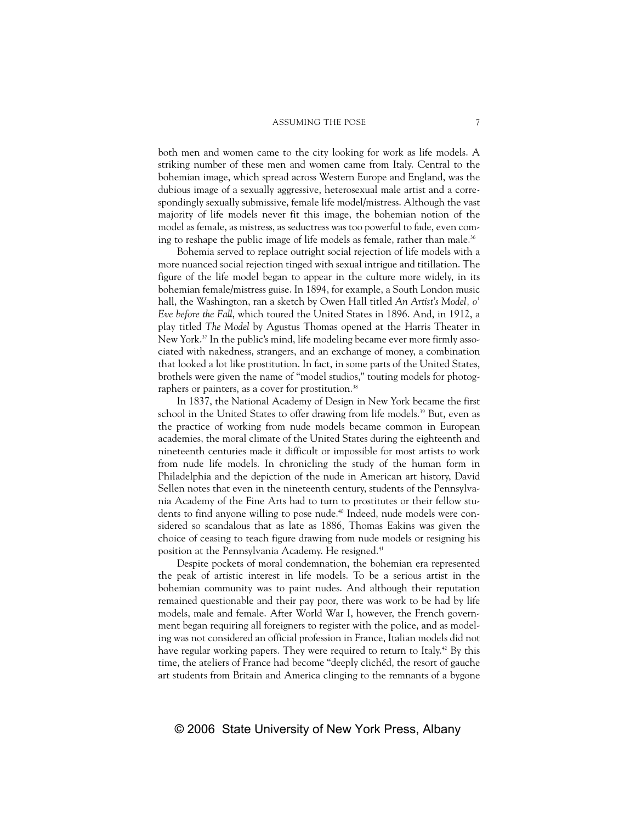both men and women came to the city looking for work as life models. A striking number of these men and women came from Italy. Central to the bohemian image, which spread across Western Europe and England, was the dubious image of a sexually aggressive, heterosexual male artist and a correspondingly sexually submissive, female life model/mistress. Although the vast majority of life models never fit this image, the bohemian notion of the model as female, as mistress, as seductress was too powerful to fade, even coming to reshape the public image of life models as female, rather than male.<sup>36</sup>

Bohemia served to replace outright social rejection of life models with a more nuanced social rejection tinged with sexual intrigue and titillation. The figure of the life model began to appear in the culture more widely, in its bohemian female/mistress guise. In 1894, for example, a South London music hall, the Washington, ran a sketch by Owen Hall titled *An Artist's Model, o' Eve before the Fall*, which toured the United States in 1896. And, in 1912, a play titled *The Model* by Agustus Thomas opened at the Harris Theater in New York.<sup>37</sup> In the public's mind, life modeling became ever more firmly associated with nakedness, strangers, and an exchange of money, a combination that looked a lot like prostitution. In fact, in some parts of the United States, brothels were given the name of "model studios," touting models for photographers or painters, as a cover for prostitution.<sup>38</sup>

In 1837, the National Academy of Design in New York became the first school in the United States to offer drawing from life models.<sup>39</sup> But, even as the practice of working from nude models became common in European academies, the moral climate of the United States during the eighteenth and nineteenth centuries made it difficult or impossible for most artists to work from nude life models. In chronicling the study of the human form in Philadelphia and the depiction of the nude in American art history, David Sellen notes that even in the nineteenth century, students of the Pennsylvania Academy of the Fine Arts had to turn to prostitutes or their fellow students to find anyone willing to pose nude.<sup>40</sup> Indeed, nude models were considered so scandalous that as late as 1886, Thomas Eakins was given the choice of ceasing to teach figure drawing from nude models or resigning his position at the Pennsylvania Academy. He resigned.<sup>41</sup>

Despite pockets of moral condemnation, the bohemian era represented the peak of artistic interest in life models. To be a serious artist in the bohemian community was to paint nudes. And although their reputation remained questionable and their pay poor, there was work to be had by life models, male and female. After World War I, however, the French government began requiring all foreigners to register with the police, and as modeling was not considered an official profession in France, Italian models did not have regular working papers. They were required to return to Italy.<sup>42</sup> By this time, the ateliers of France had become "deeply clichéd, the resort of gauche art students from Britain and America clinging to the remnants of a bygone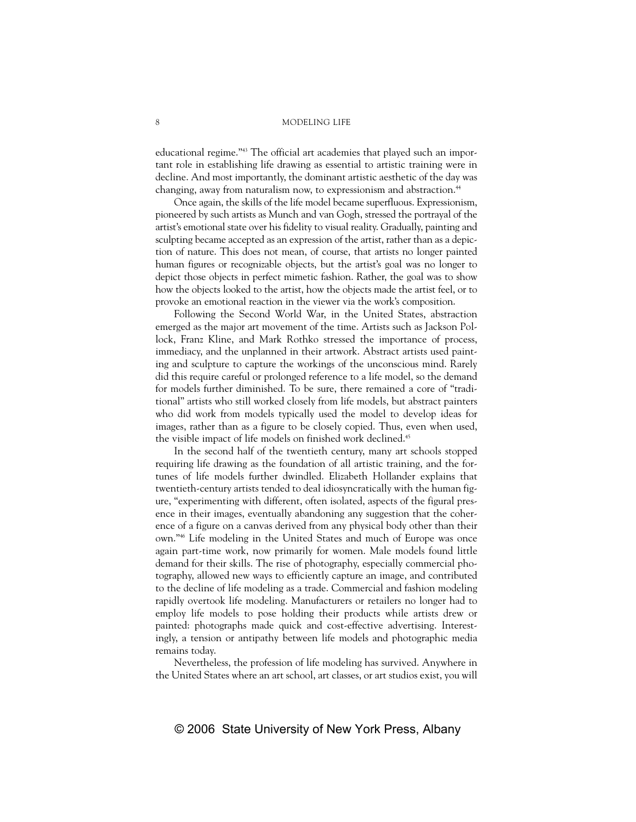educational regime."43 The official art academies that played such an important role in establishing life drawing as essential to artistic training were in decline. And most importantly, the dominant artistic aesthetic of the day was changing, away from naturalism now, to expressionism and abstraction.<sup>44</sup>

Once again, the skills of the life model became superfluous. Expressionism, pioneered by such artists as Munch and van Gogh, stressed the portrayal of the artist's emotional state over his fidelity to visual reality. Gradually, painting and sculpting became accepted as an expression of the artist, rather than as a depiction of nature. This does not mean, of course, that artists no longer painted human figures or recognizable objects, but the artist's goal was no longer to depict those objects in perfect mimetic fashion. Rather, the goal was to show how the objects looked to the artist, how the objects made the artist feel, or to provoke an emotional reaction in the viewer via the work's composition.

Following the Second World War, in the United States, abstraction emerged as the major art movement of the time. Artists such as Jackson Pollock, Franz Kline, and Mark Rothko stressed the importance of process, immediacy, and the unplanned in their artwork. Abstract artists used painting and sculpture to capture the workings of the unconscious mind. Rarely did this require careful or prolonged reference to a life model, so the demand for models further diminished. To be sure, there remained a core of "traditional" artists who still worked closely from life models, but abstract painters who did work from models typically used the model to develop ideas for images, rather than as a figure to be closely copied. Thus, even when used, the visible impact of life models on finished work declined.<sup>45</sup>

In the second half of the twentieth century, many art schools stopped requiring life drawing as the foundation of all artistic training, and the fortunes of life models further dwindled. Elizabeth Hollander explains that twentieth-century artists tended to deal idiosyncratically with the human figure, "experimenting with different, often isolated, aspects of the figural presence in their images, eventually abandoning any suggestion that the coherence of a figure on a canvas derived from any physical body other than their own."46 Life modeling in the United States and much of Europe was once again part-time work, now primarily for women. Male models found little demand for their skills. The rise of photography, especially commercial photography, allowed new ways to efficiently capture an image, and contributed to the decline of life modeling as a trade. Commercial and fashion modeling rapidly overtook life modeling. Manufacturers or retailers no longer had to employ life models to pose holding their products while artists drew or painted: photographs made quick and cost-effective advertising. Interestingly, a tension or antipathy between life models and photographic media remains today.

Nevertheless, the profession of life modeling has survived. Anywhere in the United States where an art school, art classes, or art studios exist, you will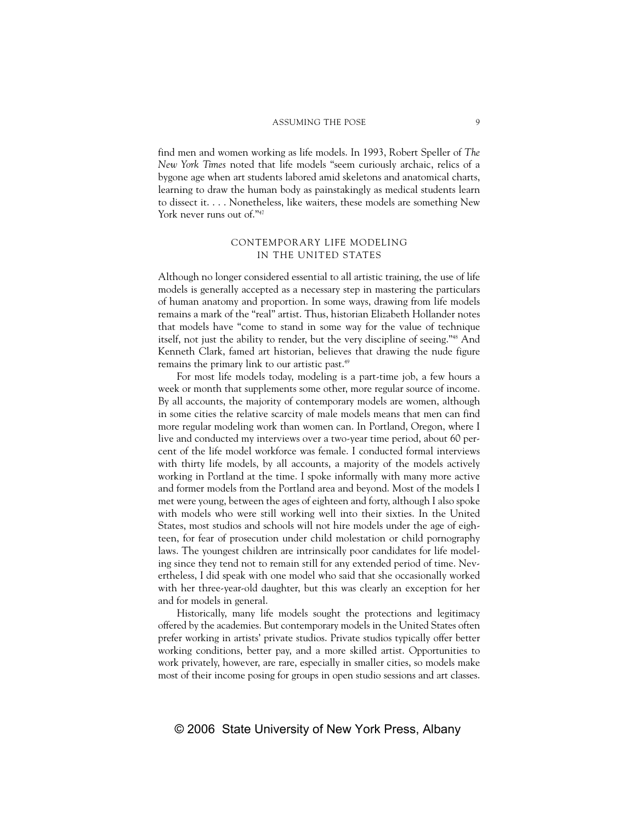find men and women working as life models. In 1993, Robert Speller of *The New York Times* noted that life models "seem curiously archaic, relics of a bygone age when art students labored amid skeletons and anatomical charts, learning to draw the human body as painstakingly as medical students learn to dissect it. . . . Nonetheless, like waiters, these models are something New York never runs out of."<sup>47</sup>

## CONTEMPORARY LIFE MODELING IN THE UNITED STATES

Although no longer considered essential to all artistic training, the use of life models is generally accepted as a necessary step in mastering the particulars of human anatomy and proportion. In some ways, drawing from life models remains a mark of the "real" artist. Thus, historian Elizabeth Hollander notes that models have "come to stand in some way for the value of technique itself, not just the ability to render, but the very discipline of seeing."48 And Kenneth Clark, famed art historian, believes that drawing the nude figure remains the primary link to our artistic past.<sup>49</sup>

For most life models today, modeling is a part-time job, a few hours a week or month that supplements some other, more regular source of income. By all accounts, the majority of contemporary models are women, although in some cities the relative scarcity of male models means that men can find more regular modeling work than women can. In Portland, Oregon, where I live and conducted my interviews over a two-year time period, about 60 percent of the life model workforce was female. I conducted formal interviews with thirty life models, by all accounts, a majority of the models actively working in Portland at the time. I spoke informally with many more active and former models from the Portland area and beyond. Most of the models I met were young, between the ages of eighteen and forty, although I also spoke with models who were still working well into their sixties. In the United States, most studios and schools will not hire models under the age of eighteen, for fear of prosecution under child molestation or child pornography laws. The youngest children are intrinsically poor candidates for life modeling since they tend not to remain still for any extended period of time. Nevertheless, I did speak with one model who said that she occasionally worked with her three-year-old daughter, but this was clearly an exception for her and for models in general.

Historically, many life models sought the protections and legitimacy offered by the academies. But contemporary models in the United States often prefer working in artists' private studios. Private studios typically offer better working conditions, better pay, and a more skilled artist. Opportunities to work privately, however, are rare, especially in smaller cities, so models make most of their income posing for groups in open studio sessions and art classes.